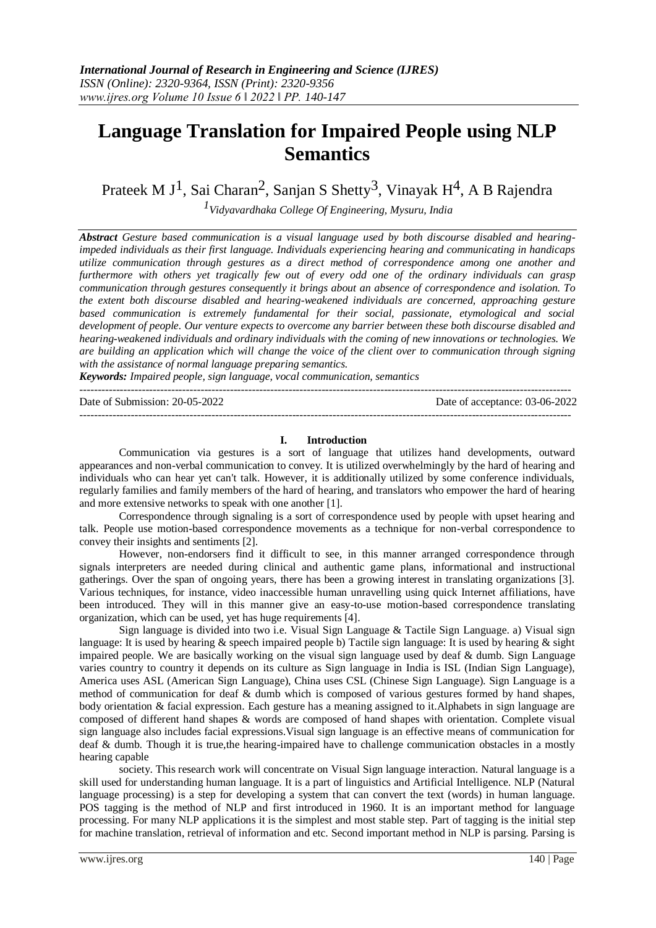# **Language Translation for Impaired People using NLP Semantics**

Prateek M J<sup>1</sup>, Sai Charan<sup>2</sup>, Sanjan S Shetty<sup>3</sup>, Vinayak H<sup>4</sup>, A B Rajendra

*1Vidyavardhaka College Of Engineering, Mysuru, India*

*Abstract Gesture based communication is a visual language used by both discourse disabled and hearingimpeded individuals as their first language. Individuals experiencing hearing and communicating in handicaps utilize communication through gestures as a direct method of correspondence among one another and furthermore with others yet tragically few out of every odd one of the ordinary individuals can grasp communication through gestures consequently it brings about an absence of correspondence and isolation. To the extent both discourse disabled and hearing-weakened individuals are concerned, approaching gesture based communication is extremely fundamental for their social, passionate, etymological and social development of people. Our venture expects to overcome any barrier between these both discourse disabled and hearing-weakened individuals and ordinary individuals with the coming of new innovations or technologies. We are building an application which will change the voice of the client over to communication through signing with the assistance of normal language preparing semantics.*

*Keywords: Impaired people, sign language, vocal communication, semantics*

--------------------------------------------------------------------------------------------------------------------------------------

--------------------------------------------------------------------------------------------------------------------------------------

Date of Submission: 20-05-2022 Date of acceptance: 03-06-2022

#### **I. Introduction**

Communication via gestures is a sort of language that utilizes hand developments, outward appearances and non-verbal communication to convey. It is utilized overwhelmingly by the hard of hearing and individuals who can hear yet can't talk. However, it is additionally utilized by some conference individuals, regularly families and family members of the hard of hearing, and translators who empower the hard of hearing and more extensive networks to speak with one another [1].

Correspondence through signaling is a sort of correspondence used by people with upset hearing and talk. People use motion-based correspondence movements as a technique for non-verbal correspondence to convey their insights and sentiments [2].

However, non-endorsers find it difficult to see, in this manner arranged correspondence through signals interpreters are needed during clinical and authentic game plans, informational and instructional gatherings. Over the span of ongoing years, there has been a growing interest in translating organizations [3]. Various techniques, for instance, video inaccessible human unravelling using quick Internet affiliations, have been introduced. They will in this manner give an easy-to-use motion-based correspondence translating organization, which can be used, yet has huge requirements [4].

Sign language is divided into two i.e. Visual Sign Language & Tactile Sign Language. a) Visual sign language: It is used by hearing & speech impaired people b) Tactile sign language: It is used by hearing & sight impaired people. We are basically working on the visual sign language used by deaf & dumb. Sign Language varies country to country it depends on its culture as Sign language in India is ISL (Indian Sign Language), America uses ASL (American Sign Language), China uses CSL (Chinese Sign Language). Sign Language is a method of communication for deaf & dumb which is composed of various gestures formed by hand shapes, body orientation & facial expression. Each gesture has a meaning assigned to it.Alphabets in sign language are composed of different hand shapes & words are composed of hand shapes with orientation. Complete visual sign language also includes facial expressions.Visual sign language is an effective means of communication for deaf & dumb. Though it is true,the hearing-impaired have to challenge communication obstacles in a mostly hearing capable

society. This research work will concentrate on Visual Sign language interaction. Natural language is a skill used for understanding human language. It is a part of linguistics and Artificial Intelligence. NLP (Natural language processing) is a step for developing a system that can convert the text (words) in human language. POS tagging is the method of NLP and first introduced in 1960. It is an important method for language processing. For many NLP applications it is the simplest and most stable step. Part of tagging is the initial step for machine translation, retrieval of information and etc. Second important method in NLP is parsing. Parsing is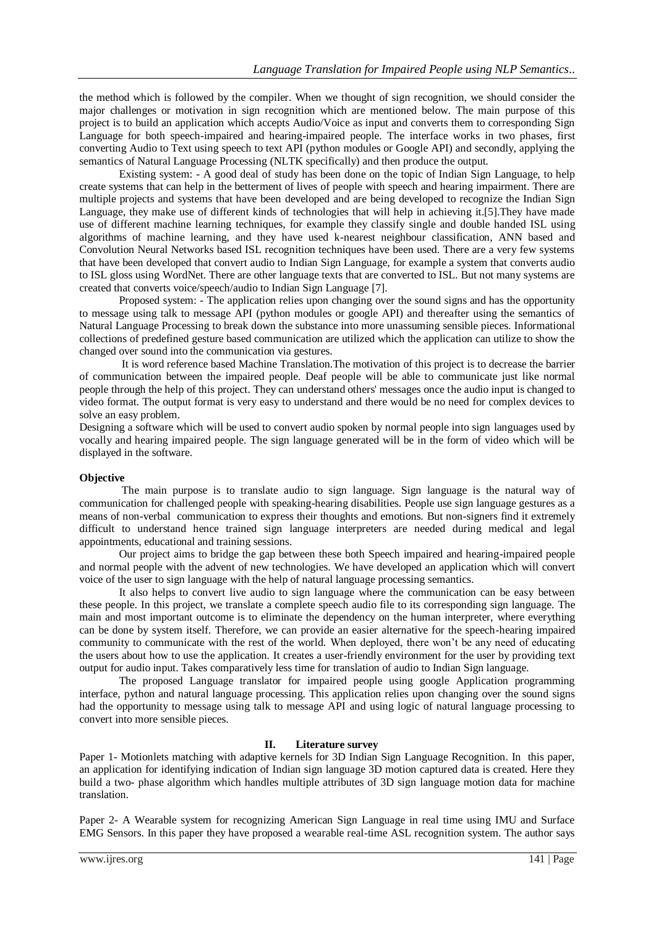the method which is followed by the compiler. When we thought of sign recognition, we should consider the major challenges or motivation in sign recognition which are mentioned below. The main purpose of this project is to build an application which accepts Audio/Voice as input and converts them to corresponding Sign Language for both speech-impaired and hearing-impaired people. The interface works in two phases, first converting Audio to Text using speech to text API (python modules or Google API) and secondly, applying the semantics of Natural Language Processing (NLTK specifically) and then produce the output.

Existing system: - A good deal of study has been done on the topic of Indian Sign Language, to help create systems that can help in the betterment of lives of people with speech and hearing impairment. There are multiple projects and systems that have been developed and are being developed to recognize the Indian Sign Language, they make use of different kinds of technologies that will help in achieving it.[5].They have made use of different machine learning techniques, for example they classify single and double handed ISL using algorithms of machine learning, and they have used k-nearest neighbour classification, ANN based and Convolution Neural Networks based ISL recognition techniques have been used. There are a very few systems that have been developed that convert audio to Indian Sign Language, for example a system that converts audio to ISL gloss using WordNet. There are other language texts that are converted to ISL. But not many systems are created that converts voice/speech/audio to Indian Sign Language [7].

Proposed system: - The application relies upon changing over the sound signs and has the opportunity to message using talk to message API (python modules or google API) and thereafter using the semantics of Natural Language Processing to break down the substance into more unassuming sensible pieces. Informational collections of predefined gesture based communication are utilized which the application can utilize to show the changed over sound into the communication via gestures.

It is word reference based Machine Translation.The motivation of this project is to decrease the barrier of communication between the impaired people. Deaf people will be able to communicate just like normal people through the help of this project. They can understand others' messages once the audio input is changed to video format. The output format is very easy to understand and there would be no need for complex devices to solve an easy problem.

Designing a software which will be used to convert audio spoken by normal people into sign languages used by vocally and hearing impaired people. The sign language generated will be in the form of video which will be displayed in the software.

## **Objective**

The main purpose is to translate audio to sign language. Sign language is the natural way of communication for challenged people with speaking-hearing disabilities. People use sign language gestures as a means of non-verbal communication to express their thoughts and emotions. But non-signers find it extremely difficult to understand hence trained sign language interpreters are needed during medical and legal appointments, educational and training sessions.

Our project aims to bridge the gap between these both Speech impaired and hearing-impaired people and normal people with the advent of new technologies. We have developed an application which will convert voice of the user to sign language with the help of natural language processing semantics.

It also helps to convert live audio to sign language where the communication can be easy between these people. In this project, we translate a complete speech audio file to its corresponding sign language. The main and most important outcome is to eliminate the dependency on the human interpreter, where everything can be done by system itself. Therefore, we can provide an easier alternative for the speech-hearing impaired community to communicate with the rest of the world. When deployed, there won't be any need of educating the users about how to use the application. It creates a user-friendly environment for the user by providing text output for audio input. Takes comparatively less time for translation of audio to Indian Sign language.

The proposed Language translator for impaired people using google Application programming interface, python and natural language processing. This application relies upon changing over the sound signs had the opportunity to message using talk to message API and using logic of natural language processing to convert into more sensible pieces.

## **II. Literature survey**

Paper 1- Motionlets matching with adaptive kernels for 3D Indian Sign Language Recognition. In this paper, an application for identifying indication of Indian sign language 3D motion captured data is created. Here they build a two- phase algorithm which handles multiple attributes of 3D sign language motion data for machine translation.

Paper 2- A Wearable system for recognizing American Sign Language in real time using IMU and Surface EMG Sensors. In this paper they have proposed a wearable real-time ASL recognition system. The author says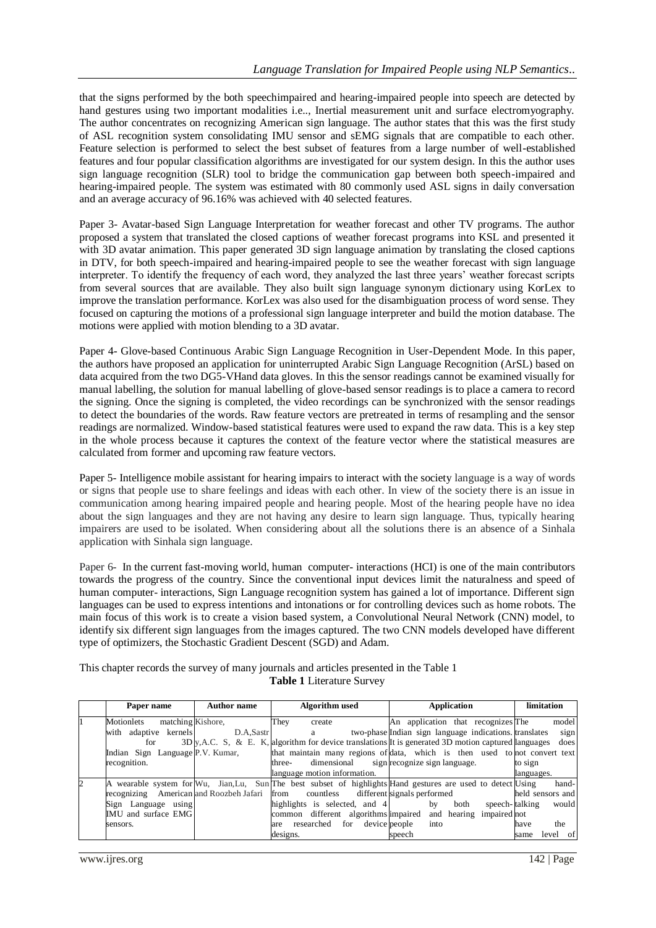that the signs performed by the both speechimpaired and hearing-impaired people into speech are detected by hand gestures using two important modalities i.e.., Inertial measurement unit and surface electromyography. The author concentrates on recognizing American sign language. The author states that this was the first study of ASL recognition system consolidating IMU sensor and sEMG signals that are compatible to each other. Feature selection is performed to select the best subset of features from a large number of well-established features and four popular classification algorithms are investigated for our system design. In this the author uses sign language recognition (SLR) tool to bridge the communication gap between both speech-impaired and hearing-impaired people. The system was estimated with 80 commonly used ASL signs in daily conversation and an average accuracy of 96.16% was achieved with 40 selected features.

Paper 3- Avatar-based Sign Language Interpretation for weather forecast and other TV programs. The author proposed a system that translated the closed captions of weather forecast programs into KSL and presented it with 3D avatar animation. This paper generated 3D sign language animation by translating the closed captions in DTV, for both speech-impaired and hearing-impaired people to see the weather forecast with sign language interpreter. To identify the frequency of each word, they analyzed the last three years' weather forecast scripts from several sources that are available. They also built sign language synonym dictionary using KorLex to improve the translation performance. KorLex was also used for the disambiguation process of word sense. They focused on capturing the motions of a professional sign language interpreter and build the motion database. The motions were applied with motion blending to a 3D avatar.

Paper 4- Glove-based Continuous Arabic Sign Language Recognition in User-Dependent Mode. In this paper, the authors have proposed an application for uninterrupted Arabic Sign Language Recognition (ArSL) based on data acquired from the two DG5-VHand data gloves. In this the sensor readings cannot be examined visually for manual labelling, the solution for manual labelling of glove-based sensor readings is to place a camera to record the signing. Once the signing is completed, the video recordings can be synchronized with the sensor readings to detect the boundaries of the words. Raw feature vectors are pretreated in terms of resampling and the sensor readings are normalized. Window-based statistical features were used to expand the raw data. This is a key step in the whole process because it captures the context of the feature vector where the statistical measures are calculated from former and upcoming raw feature vectors.

Paper 5- Intelligence mobile assistant for hearing impairs to interact with the society language is a way of words or signs that people use to share feelings and ideas with each other. In view of the society there is an issue in communication among hearing impaired people and hearing people. Most of the hearing people have no idea about the sign languages and they are not having any desire to learn sign language. Thus, typically hearing impairers are used to be isolated. When considering about all the solutions there is an absence of a Sinhala application with Sinhala sign language.

Paper 6- In the current fast-moving world, human computer- interactions (HCI) is one of the main contributors towards the progress of the country. Since the conventional input devices limit the naturalness and speed of human computer- interactions, Sign Language recognition system has gained a lot of importance. Different sign languages can be used to express intentions and intonations or for controlling devices such as home robots. The main focus of this work is to create a vision based system, a Convolutional Neural Network (CNN) model, to identify six different sign languages from the images captured. The two CNN models developed have different type of optimizers, the Stochastic Gradient Descent (SGD) and Adam.

This chapter records the survey of many journals and articles presented in the Table 1 **Table 1** Literature Survey

| Paper name                              | <b>Author name</b> | Algorithm used                                | Application                                                                                                  | limitation       |
|-----------------------------------------|--------------------|-----------------------------------------------|--------------------------------------------------------------------------------------------------------------|------------------|
| matching Kishore.<br>Motionlets         |                    | They<br>create                                | An application that recognizes The                                                                           | model            |
| with adaptive kernels                   | D.A.Sastr          | a                                             | two-phase Indian sign language indications translates                                                        | sign             |
| for                                     |                    |                                               | $3D_y$ , A.C. S. & E. K. algorithm for device translations It is generated 3D motion captured languages      | does             |
| Indian Sign Language P.V. Kumar,        |                    |                                               | that maintain many regions of data, which is then used to not convert text                                   |                  |
| recognition.                            |                    | three-                                        | dimensional sign recognize sign language.                                                                    | to sign          |
|                                         |                    | language motion information.                  |                                                                                                              | languages.       |
|                                         |                    |                                               | A wearable system for Wu, Jian, Lu, Sun The best subset of highlights Hand gestures are used to detect Using | hand-            |
| recognizing American and Roozbeh Jafari |                    | countless different signals performed<br>from |                                                                                                              | held sensors and |
| Sign Language using                     |                    | highlights is selected, and 4                 | speech-talking<br>both<br>$-$ by                                                                             | would            |
| IMU and surface EMG                     |                    |                                               | common different algorithms impaired and hearing impaired not                                                |                  |
| sensors.                                |                    | device people<br>are researched<br>for        | into                                                                                                         | the<br>have      |
|                                         |                    | designs.                                      | speech                                                                                                       | level of<br>same |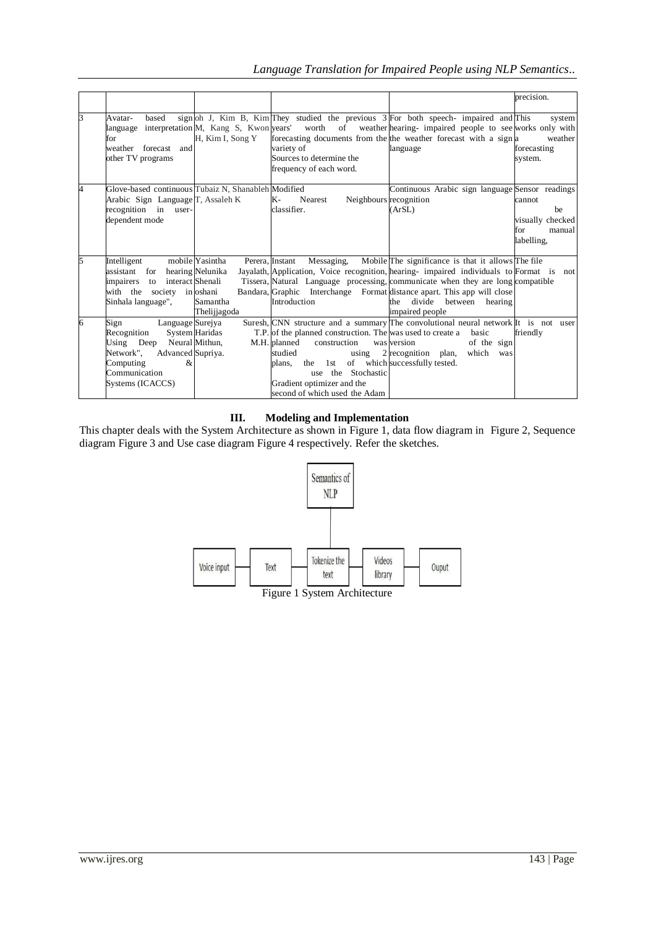|   |                                                                                                                                                               |                                             |                                                                                                                                                                                                                          |                                                                                                                                                                                                                                                                                                                                                                  | precision.                                                      |
|---|---------------------------------------------------------------------------------------------------------------------------------------------------------------|---------------------------------------------|--------------------------------------------------------------------------------------------------------------------------------------------------------------------------------------------------------------------------|------------------------------------------------------------------------------------------------------------------------------------------------------------------------------------------------------------------------------------------------------------------------------------------------------------------------------------------------------------------|-----------------------------------------------------------------|
|   | based<br>Avatar-<br>for<br>weather forecast and<br>other TV programs                                                                                          | H, Kim I, Song Y                            | variety of<br>Sources to determine the<br>frequency of each word.                                                                                                                                                        | sign oh J, Kim B, Kim They studied the previous 3 For both speech-impaired and This<br>language interpretation M, Kang S, Kwon years' worth of weather hearing-impaired people to see works only with<br>forecasting documents from the the weather forecast with a sign a<br>language                                                                           | system<br>weather<br>forecasting<br>system.                     |
|   | Glove-based continuous Tubaiz N, Shanableh Modified<br>Arabic Sign Language T, Assaleh K<br>recognition in user-<br>dependent mode                            |                                             | Neighbours recognition<br>K-<br>Nearest<br>classifier.                                                                                                                                                                   | Continuous Arabic sign language Sensor readings<br>(ArSL)                                                                                                                                                                                                                                                                                                        | cannot<br>be<br>visually checked<br>manual<br>for<br>labelling. |
| 5 | Intelligent<br>assistant for hearing Nelunika<br>impairers to interact Shenali<br>with the society in oshani<br>Sinhala language",                            | mobile Yasintha<br>Samantha<br>Thelijiagoda | Messaging,<br>Perera, Instant<br>Introduction                                                                                                                                                                            | Mobile The significance is that it allows The file<br>Jayalath, Application, Voice recognition, hearing- impaired individuals to Format is not<br>Tissera, Natural Language processing, communicate when they are long compatible<br>Bandara, Graphic Interchange Format distance apart. This app will close<br>divide between hearing<br>the<br>impaired people |                                                                 |
| б | Language Surejya<br>Sign<br>Recognition<br>Using Deep Neural Mithun,<br>Network".<br>Advanced Supriya.<br>Computing<br>&<br>Communication<br>Systems (ICACCS) | System Haridas                              | T.P. of the planned construction. The was used to create a<br>M.H. planned<br>construction<br>studied<br>using<br>plans.<br>the 1st<br>use the Stochastic<br>Gradient optimizer and the<br>second of which used the Adam | Suresh, CNN structure and a summary The convolutional neural network It is not user<br>basic<br>of the sign<br>was version<br>2 recognition plan,<br>which<br>was<br>of which successfully tested.                                                                                                                                                               | friendly                                                        |

## **III. Modeling and Implementation**

This chapter deals with the System Architecture as shown in Figure 1, data flow diagram in Figure 2, Sequence diagram Figure 3 and Use case diagram Figure 4 respectively. Refer the sketches.

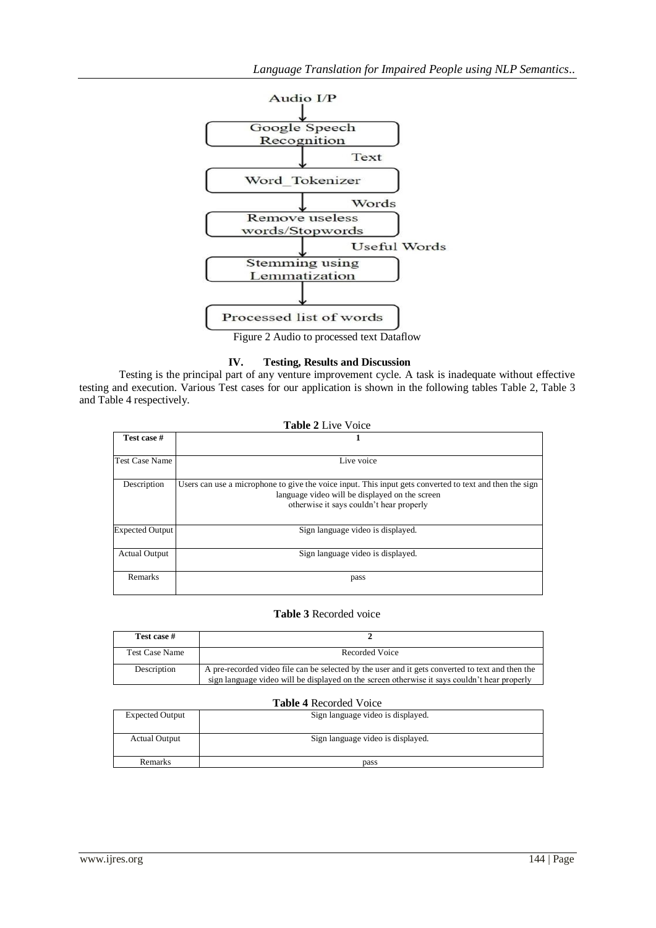

Figure 2 Audio to processed text Dataflow

## **IV. Testing, Results and Discussion**

Testing is the principal part of any venture improvement cycle. A task is inadequate without effective testing and execution. Various Test cases for our application is shown in the following tables Table 2, Table 3 and Table 4 respectively.

| <b>Table 2 Live Voice</b> |                                                                                                                                                                                                       |  |
|---------------------------|-------------------------------------------------------------------------------------------------------------------------------------------------------------------------------------------------------|--|
| Test case #               |                                                                                                                                                                                                       |  |
| <b>Test Case Name</b>     | Live voice                                                                                                                                                                                            |  |
| Description               | Users can use a microphone to give the voice input. This input gets converted to text and then the sign<br>language video will be displayed on the screen<br>otherwise it says couldn't hear properly |  |
| <b>Expected Output</b>    | Sign language video is displayed.                                                                                                                                                                     |  |
| <b>Actual Output</b>      | Sign language video is displayed.                                                                                                                                                                     |  |
| Remarks                   | pass                                                                                                                                                                                                  |  |

## **Table 3** Recorded voice

| Test case #           |                                                                                                                                                                                                  |
|-----------------------|--------------------------------------------------------------------------------------------------------------------------------------------------------------------------------------------------|
| <b>Test Case Name</b> | Recorded Voice                                                                                                                                                                                   |
| Description           | A pre-recorded video file can be selected by the user and it gets converted to text and then the<br>sign language video will be displayed on the screen otherwise it says couldn't hear properly |

#### **Table 4** Recorded Voice

| <b>Expected Output</b> | Sign language video is displayed. |  |  |  |
|------------------------|-----------------------------------|--|--|--|
| <b>Actual Output</b>   | Sign language video is displayed. |  |  |  |
| Remarks                | pass                              |  |  |  |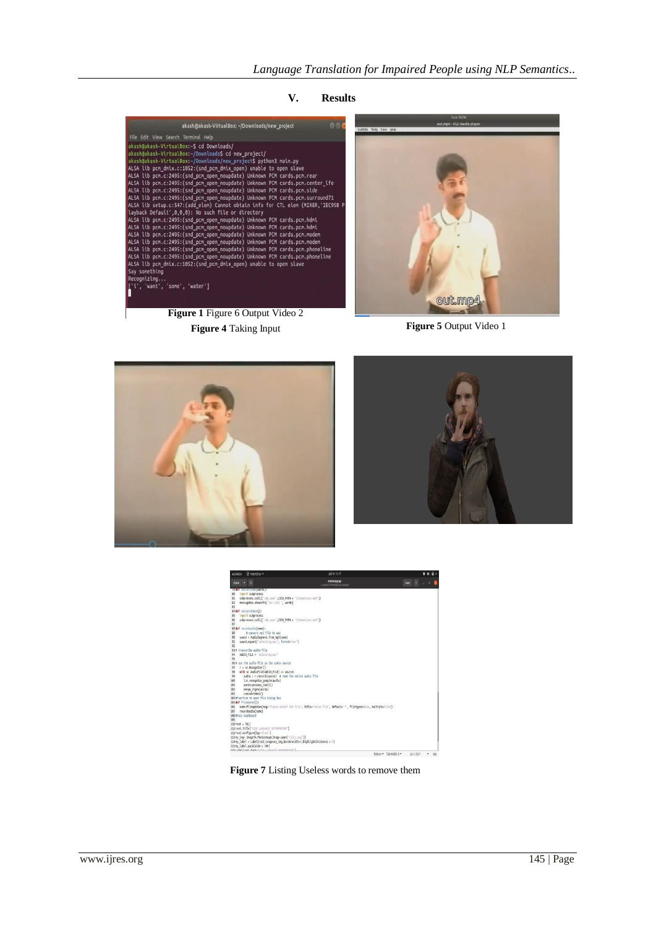**V. Results**



**Figure 1** Figure 6 Output Video 2 **Figure 4** Taking Input **Figure 5** Output Video 1









**Figure 7** Listing Useless words to remove them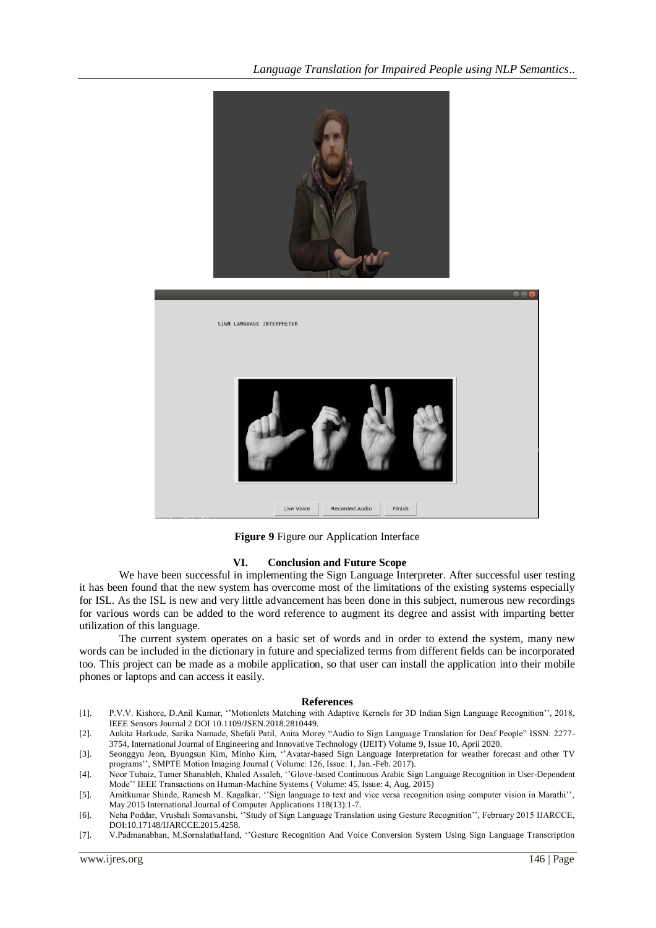

**Figure 9** Figure our Application Interface

#### **VI. Conclusion and Future Scope**

We have been successful in implementing the Sign Language Interpreter. After successful user testing it has been found that the new system has overcome most of the limitations of the existing systems especially for ISL. As the ISL is new and very little advancement has been done in this subject, numerous new recordings for various words can be added to the word reference to augment its degree and assist with imparting better utilization of this language.

The current system operates on a basic set of words and in order to extend the system, many new words can be included in the dictionary in future and specialized terms from different fields can be incorporated too. This project can be made as a mobile application, so that user can install the application into their mobile phones or laptops and can access it easily.

#### **References**

[1]. P.V.V. Kishore, D.Anil Kumar, ''Motionlets Matching with Adaptive Kernels for 3D Indian Sign Language Recognition'', 2018, IEEE Sensors Journal 2 DOI 10.1109/JSEN.2018.2810449.

[2]. Ankita Harkude, Sarika Namade, Shefali Patil, Anita Morey "Audio to Sign Language Translation for Deaf People" ISSN: 2277- 3754, International Journal of Engineering and Innovative Technology (IJEIT) Volume 9, Issue 10, April 2020.

[3]. Seonggyu Jeon, Byungsun Kim, Minho Kim, ''Avatar-based Sign Language Interpretation for weather forecast and other TV programs'', SMPTE Motion Imaging Journal ( Volume: 126, Issue: 1, Jan.-Feb. 2017).

[4]. Noor Tubaiz, Tamer Shanableh, Khaled Assaleh, ''Glove-based Continuous Arabic Sign Language Recognition in User-Dependent Mode'' IEEE Transactions on Human-Machine Systems ( Volume: 45, Issue: 4, Aug. 2015)

- [5]. Amitkumar Shinde, Ramesh M. Kagalkar, ''Sign language to text and vice versa recognition using computer vision in Marathi'', May 2015 International Journal of Computer Applications 118(13):1-7.
- [6]. Neha Poddar, Vrushali Somavanshi, ''Study of Sign Language Translation using Gesture Recognition'', February 2015 IJARCCE, DOI:10.17148/IJARCCE.2015.4258.
- [7]. V.Padmanabhan, M.SornalathaHand, ''Gesture Recognition And Voice Conversion System Using Sign Language Transcription